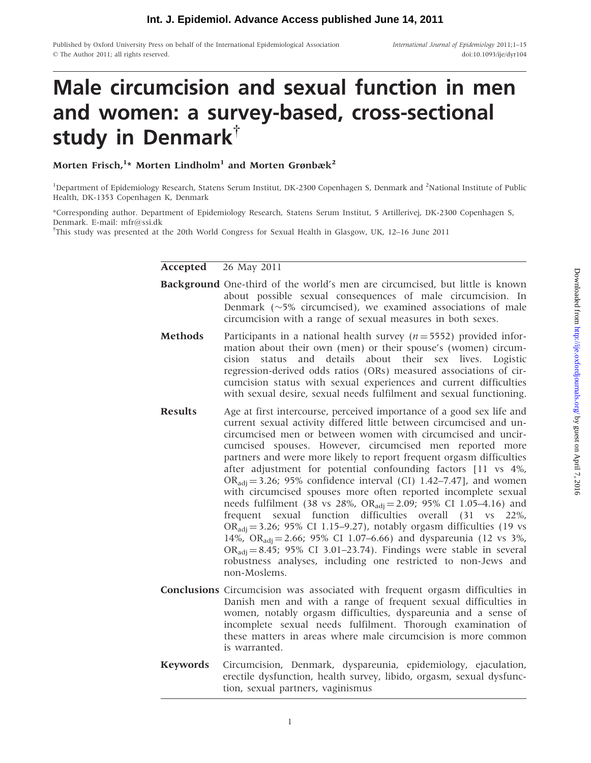Published by Oxford University Press on behalf of the International Epidemiological Association - The Author 2011; all rights reserved.

# Male circumcision and sexual function in men and women: a survey-based, cross-sectional study in Denmark $^{\dagger}$

Morten Frisch,  $^{\text{l}}$ \* Morten Lindholm $^{\text{l}}$  and Morten Grønbæk $^{\text{2}}$ 

<sup>1</sup>Department of Epidemiology Research, Statens Serum Institut, DK-2300 Copenhagen S, Denmark and <sup>2</sup>National Institute of Public Health, DK-1353 Copenhagen K, Denmark

\*Corresponding author. Department of Epidemiology Research, Statens Serum Institut, 5 Artillerivej, DK-2300 Copenhagen S, Denmark. E-mail: mfr@ssi.dk

<sup>†</sup>This study was presented at the 20th World Congress for Sexual Health in Glasgow, UK, 12-16 June 2011

Accepted 26 May 2011

- Background One-third of the world's men are circumcised, but little is known about possible sexual consequences of male circumcision. In Denmark ( $\sim$ 5% circumcised), we examined associations of male circumcision with a range of sexual measures in both sexes.
- **Methods** Participants in a national health survey  $(n = 5552)$  provided information about their own (men) or their spouse's (women) circumcision status and details about their sex lives. Logistic regression-derived odds ratios (ORs) measured associations of circumcision status with sexual experiences and current difficulties with sexual desire, sexual needs fulfilment and sexual functioning.
- Results Age at first intercourse, perceived importance of a good sex life and current sexual activity differed little between circumcised and uncircumcised men or between women with circumcised and uncircumcised spouses. However, circumcised men reported more partners and were more likely to report frequent orgasm difficulties after adjustment for potential confounding factors [11 vs 4%,  $OR_{\text{adi}} = 3.26$ ; 95% confidence interval (CI) 1.42–7.47], and women with circumcised spouses more often reported incomplete sexual needs fulfilment (38 vs 28%,  $OR_{\text{adj}} = 2.09$ ; 95% CI 1.05–4.16) and frequent sexual function difficulties overall (31 vs 22%,  $OR_{\text{adi}} = 3.26$ ; 95% CI 1.15–9.27), notably orgasm difficulties (19 vs 14%, OR<sub>adj</sub> = 2.66; 95% CI 1.07–6.66) and dyspareunia (12 vs 3%,  $OR_{\text{adi}} = 8.45$ ; 95% CI 3.01–23.74). Findings were stable in several robustness analyses, including one restricted to non-Jews and non-Moslems.
- Conclusions Circumcision was associated with frequent orgasm difficulties in Danish men and with a range of frequent sexual difficulties in women, notably orgasm difficulties, dyspareunia and a sense of incomplete sexual needs fulfilment. Thorough examination of these matters in areas where male circumcision is more common is warranted.
- Keywords Circumcision, Denmark, dyspareunia, epidemiology, ejaculation, erectile dysfunction, health survey, libido, orgasm, sexual dysfunction, sexual partners, vaginismus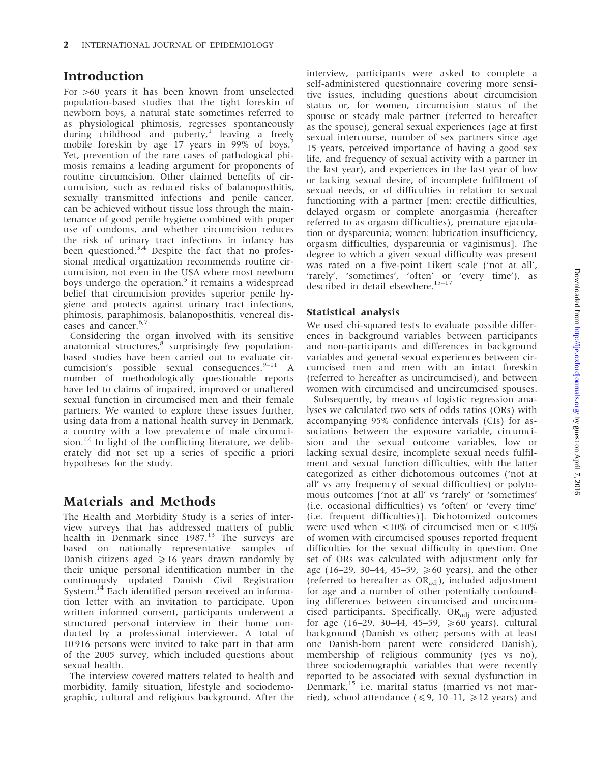# Introduction

For  $>60$  years it has been known from unselected population-based studies that the tight foreskin of newborn boys, a natural state sometimes referred to as physiological phimosis, regresses spontaneously during childhood and puberty,<sup>1</sup> leaving a freely mobile foreskin by age 17 years in 99% of boys.<sup>2</sup> Yet, prevention of the rare cases of pathological phimosis remains a leading argument for proponents of routine circumcision. Other claimed benefits of circumcision, such as reduced risks of balanoposthitis, sexually transmitted infections and penile cancer, can be achieved without tissue loss through the maintenance of good penile hygiene combined with proper use of condoms, and whether circumcision reduces the risk of urinary tract infections in infancy has been questioned.<sup>3,4</sup> Despite the fact that no professional medical organization recommends routine circumcision, not even in the USA where most newborn boys undergo the operation, $5$  it remains a widespread belief that circumcision provides superior penile hygiene and protects against urinary tract infections, phimosis, paraphimosis, balanoposthitis, venereal diseases and cancer.<sup>6,7</sup>

Considering the organ involved with its sensitive anatomical structures,<sup>8</sup> surprisingly few populationbased studies have been carried out to evaluate circumcision's possible sexual consequences.<sup>9–11</sup> A number of methodologically questionable reports have led to claims of impaired, improved or unaltered sexual function in circumcised men and their female partners. We wanted to explore these issues further, using data from a national health survey in Denmark, a country with a low prevalence of male circumcision. $^{12}$  In light of the conflicting literature, we deliberately did not set up a series of specific a priori hypotheses for the study.

# Materials and Methods

The Health and Morbidity Study is a series of interview surveys that has addressed matters of public health in Denmark since 1987.<sup>13</sup> The surveys are based on nationally representative samples of Danish citizens aged  $\geq 16$  years drawn randomly by their unique personal identification number in the continuously updated Danish Civil Registration System.14 Each identified person received an information letter with an invitation to participate. Upon written informed consent, participants underwent a structured personal interview in their home conducted by a professional interviewer. A total of 10 916 persons were invited to take part in that arm of the 2005 survey, which included questions about sexual health.

The interview covered matters related to health and morbidity, family situation, lifestyle and sociodemographic, cultural and religious background. After the

interview, participants were asked to complete a self-administered questionnaire covering more sensitive issues, including questions about circumcision status or, for women, circumcision status of the spouse or steady male partner (referred to hereafter as the spouse), general sexual experiences (age at first sexual intercourse, number of sex partners since age 15 years, perceived importance of having a good sex life, and frequency of sexual activity with a partner in the last year), and experiences in the last year of low or lacking sexual desire, of incomplete fulfilment of sexual needs, or of difficulties in relation to sexual functioning with a partner [men: erectile difficulties, delayed orgasm or complete anorgasmia (hereafter referred to as orgasm difficulties), premature ejaculation or dyspareunia; women: lubrication insufficiency, orgasm difficulties, dyspareunia or vaginismus]. The degree to which a given sexual difficulty was present was rated on a five-point Likert scale ('not at all', 'rarely', 'sometimes', 'often' or 'every time'), as described in detail elsewhere.<sup>15-17</sup>

### Statistical analysis

We used chi-squared tests to evaluate possible differences in background variables between participants and non-participants and differences in background variables and general sexual experiences between circumcised men and men with an intact foreskin (referred to hereafter as uncircumcised), and between women with circumcised and uncircumcised spouses.

Subsequently, by means of logistic regression analyses we calculated two sets of odds ratios (ORs) with accompanying 95% confidence intervals (CIs) for associations between the exposure variable, circumcision and the sexual outcome variables, low or lacking sexual desire, incomplete sexual needs fulfilment and sexual function difficulties, with the latter categorized as either dichotomous outcomes ('not at all' vs any frequency of sexual difficulties) or polytomous outcomes ['not at all' vs 'rarely' or 'sometimes' (i.e. occasional difficulties) vs 'often' or 'every time' (i.e. frequent difficulties)]. Dichotomized outcomes were used when <10% of circumcised men or <10% of women with circumcised spouses reported frequent difficulties for the sexual difficulty in question. One set of ORs was calculated with adjustment only for age (16–29, 30–44, 45–59,  $\geq 60$  years), and the other (referred to hereafter as  $OR_{\text{adj}}$ ), included adjustment for age and a number of other potentially confounding differences between circumcised and uncircumcised participants. Specifically,  $OR_{\text{adj}}$  were adjusted for age (16–29, 30–44, 45–59,  $\geq 60$  years), cultural background (Danish vs other; persons with at least one Danish-born parent were considered Danish), membership of religious community (yes vs no), three sociodemographic variables that were recently reported to be associated with sexual dysfunction in  $D$ enmark,<sup>15</sup> i.e. marital status (married vs not married), school attendance ( $\leq 9$ , 10–11,  $\geq 12$  years) and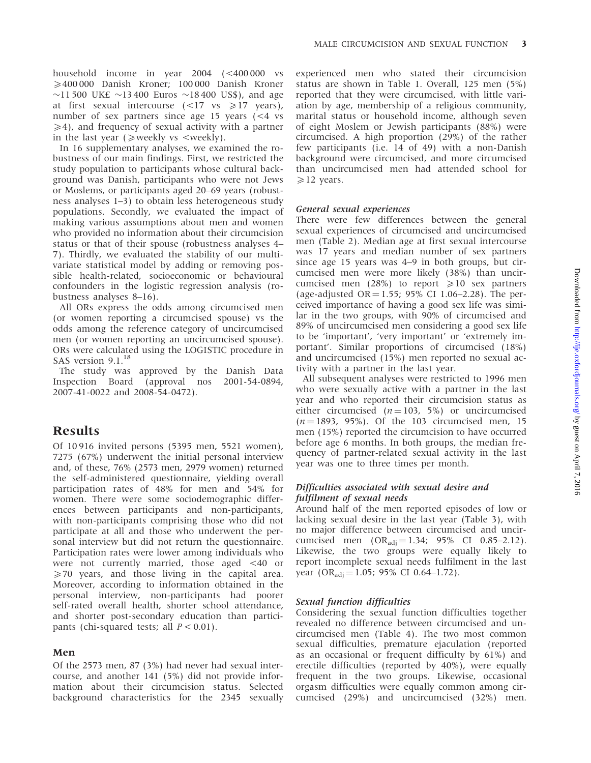household income in year 2004 (<400 000 vs  $\geqslant$  400 000 Danish Kroner; 100 000 Danish Kroner  $\sim$ 11 500 UK£  $\sim$ 13 400 Euros  $\sim$ 18 400 US\$), and age at first sexual intercourse  $(<17$  vs  $\geq 17$  years), number of sex partners since age 15 years (<4 vs  $\geq$ 4), and frequency of sexual activity with a partner in the last year ( $\geq$  weekly vs <weekly).

In 16 supplementary analyses, we examined the robustness of our main findings. First, we restricted the study population to participants whose cultural background was Danish, participants who were not Jews or Moslems, or participants aged 20–69 years (robustness analyses 1–3) to obtain less heterogeneous study populations. Secondly, we evaluated the impact of making various assumptions about men and women who provided no information about their circumcision status or that of their spouse (robustness analyses 4– 7). Thirdly, we evaluated the stability of our multivariate statistical model by adding or removing possible health-related, socioeconomic or behavioural confounders in the logistic regression analysis (robustness analyses 8–16).

All ORs express the odds among circumcised men (or women reporting a circumcised spouse) vs the odds among the reference category of uncircumcised men (or women reporting an uncircumcised spouse). ORs were calculated using the LOGISTIC procedure in SAS version 9.1.<sup>18</sup>

The study was approved by the Danish Data Inspection Board (approval nos 2001-54-0894, 2007-41-0022 and 2008-54-0472).

# Results

Of 10 916 invited persons (5395 men, 5521 women), 7275 (67%) underwent the initial personal interview and, of these, 76% (2573 men, 2979 women) returned the self-administered questionnaire, yielding overall participation rates of 48% for men and 54% for women. There were some sociodemographic differences between participants and non-participants, with non-participants comprising those who did not participate at all and those who underwent the personal interview but did not return the questionnaire. Participation rates were lower among individuals who were not currently married, those aged <40 or  $\geq$  70 years, and those living in the capital area. Moreover, according to information obtained in the personal interview, non-participants had poorer self-rated overall health, shorter school attendance, and shorter post-secondary education than participants (chi-squared tests; all  $P < 0.01$ ).

#### Men

Of the 2573 men, 87 (3%) had never had sexual intercourse, and another 141 (5%) did not provide information about their circumcision status. Selected background characteristics for the 2345 sexually experienced men who stated their circumcision status are shown in Table 1. Overall, 125 men (5%) reported that they were circumcised, with little variation by age, membership of a religious community, marital status or household income, although seven of eight Moslem or Jewish participants (88%) were circumcised. A high proportion (29%) of the rather few participants (i.e. 14 of 49) with a non-Danish background were circumcised, and more circumcised than uncircumcised men had attended school for  $\geqslant$  12 years.

#### General sexual experiences

There were few differences between the general sexual experiences of circumcised and uncircumcised men (Table 2). Median age at first sexual intercourse was 17 years and median number of sex partners since age 15 years was 4–9 in both groups, but circumcised men were more likely (38%) than uncircumcised men (28%) to report  $\geq 10$  sex partners (age-adjusted OR = 1.55; 95% CI 1.06-2.28). The perceived importance of having a good sex life was similar in the two groups, with 90% of circumcised and 89% of uncircumcised men considering a good sex life to be 'important', 'very important' or 'extremely important'. Similar proportions of circumcised (18%) and uncircumcised (15%) men reported no sexual activity with a partner in the last year.

All subsequent analyses were restricted to 1996 men who were sexually active with a partner in the last year and who reported their circumcision status as either circumcised  $(n = 103, 5\%)$  or uncircumcised  $(n = 1893, 95%)$ . Of the 103 circumcised men, 15 men (15%) reported the circumcision to have occurred before age 6 months. In both groups, the median frequency of partner-related sexual activity in the last year was one to three times per month.

#### Difficulties associated with sexual desire and fulfilment of sexual needs

Around half of the men reported episodes of low or lacking sexual desire in the last year (Table 3), with no major difference between circumcised and uncircumcised men  $(OR_{\text{adi}} = 1.34; 95\% \text{ CI} 0.85-2.12).$ Likewise, the two groups were equally likely to report incomplete sexual needs fulfilment in the last year ( $OR_{\text{adj}} = 1.05$ ; 95% CI 0.64-1.72).

#### Sexual function difficulties

Considering the sexual function difficulties together revealed no difference between circumcised and uncircumcised men (Table 4). The two most common sexual difficulties, premature ejaculation (reported as an occasional or frequent difficulty by 61%) and erectile difficulties (reported by 40%), were equally frequent in the two groups. Likewise, occasional orgasm difficulties were equally common among circumcised (29%) and uncircumcised (32%) men.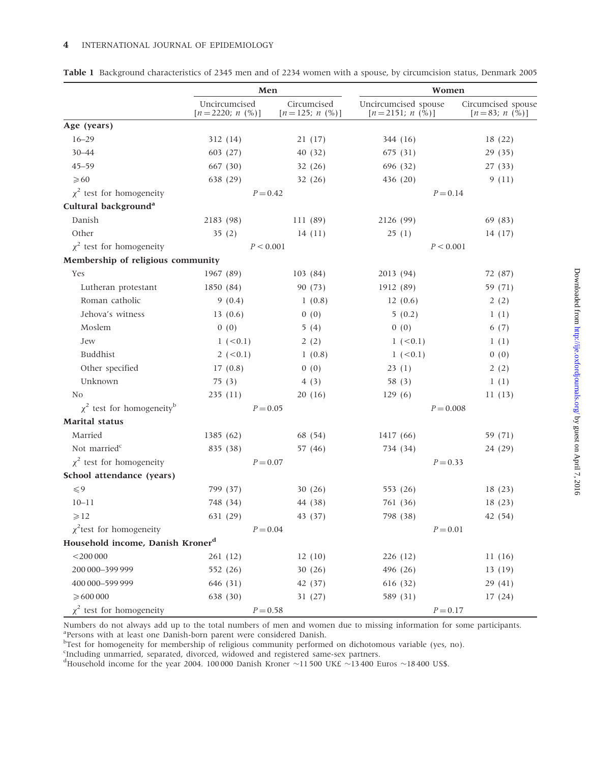|                                              | Men                                 |                                 | Women                                     |                                        |
|----------------------------------------------|-------------------------------------|---------------------------------|-------------------------------------------|----------------------------------------|
|                                              | Uncircumcised<br>$[n=2220; n (\%)]$ | Circumcised<br>$[n=125; n (%)]$ | Uncircumcised spouse<br>$[n=2151; n (%)]$ | Circumcised spouse<br>$[n=83; n (\%)]$ |
| Age (years)                                  |                                     |                                 |                                           |                                        |
| $16 - 29$                                    | 312(14)                             | 21 (17)                         | 344 (16)                                  | 18(22)                                 |
| $30 - 44$                                    | 603 (27)                            | 40 (32)                         | 675 (31)                                  | 29(35)                                 |
| $45 - 59$                                    | 667 (30)                            | 32(26)                          | 696 (32)                                  | 27 (33)                                |
| $\geqslant 60$                               | 638 (29)                            | 32(26)                          | 436 (20)                                  | 9(11)                                  |
| $\chi^2$ test for homogeneity                | $P = 0.42$                          |                                 | $P = 0.14$                                |                                        |
| Cultural background <sup>a</sup>             |                                     |                                 |                                           |                                        |
| Danish                                       | 2183 (98)                           | 111(89)                         | 2126 (99)                                 | 69 (83)                                |
| Other                                        | 35(2)                               | 14(11)                          | 25(1)                                     | 14(17)                                 |
| $\chi^2$ test for homogeneity                | P < 0.001                           |                                 | P < 0.001                                 |                                        |
| Membership of religious community            |                                     |                                 |                                           |                                        |
| Yes                                          | 1967 (89)                           | 103(84)                         | 2013 (94)                                 | 72 (87)                                |
| Lutheran protestant                          | 1850 (84)                           | 90 (73)                         | 1912 (89)                                 | 59 (71)                                |
| Roman catholic                               | 9(0.4)                              | 1(0.8)                          | 12(0.6)                                   | 2(2)                                   |
| Jehova's witness                             | 13(0.6)                             | 0(0)                            | 5(0.2)                                    | 1(1)                                   |
| Moslem                                       | 0(0)                                | 5(4)                            | 0(0)                                      | 6(7)                                   |
| Jew                                          | $1 (-0.1)$                          | 2(2)                            | $1 (-0.1)$                                | 1(1)                                   |
| Buddhist                                     | $2 (-0.1)$                          | 1(0.8)                          | $1 (-0.1)$                                | 0(0)                                   |
| Other specified                              | 17(0.8)                             | 0(0)                            | 23(1)                                     | 2(2)                                   |
| Unknown                                      | 75(3)                               | 4(3)                            | 58 (3)                                    | 1(1)                                   |
| N <sub>0</sub>                               | 235(11)                             | 20(16)                          | 129(6)                                    | 11(13)                                 |
| $\chi^2$ test for homogeneity <sup>b</sup>   | $P = 0.05$                          |                                 | $P = 0.008$                               |                                        |
| <b>Marital</b> status                        |                                     |                                 |                                           |                                        |
| Married                                      | 1385(62)                            | 68 (54)                         | 1417 (66)                                 | 59 (71)                                |
| Not married <sup>c</sup>                     | 835 (38)                            | 57 (46)                         | 734 (34)                                  | 24 (29)                                |
| $\chi^2$ test for homogeneity                | $P = 0.07$                          |                                 | $P = 0.33$                                |                                        |
| School attendance (years)                    |                                     |                                 |                                           |                                        |
| ${\leq} 9$                                   | 799 (37)                            | 30(26)                          | 553 (26)                                  | 18(23)                                 |
| $10 - 11$                                    | 748 (34)                            | 44 (38)                         | 761 (36)                                  | 18(23)                                 |
| $\geqslant$ 12                               | 631 (29)                            | 43 (37)                         | 798 (38)                                  | 42 (54)                                |
| $\chi^2$ test for homogeneity                | $P = 0.04$                          |                                 | $P = 0.01$                                |                                        |
| Household income, Danish Kroner <sup>d</sup> |                                     |                                 |                                           |                                        |
| $<$ 200 000                                  | 261(12)                             | 12(10)                          | 226(12)                                   | 11(16)                                 |
| 200 000-399 999                              | 552 (26)                            | 30(26)                          | 496 (26)                                  | 13(19)                                 |
| 400 000-599 999                              | 646 (31)                            | 42 (37)                         | 616 (32)                                  | 29(41)                                 |
| $\geq 600000$                                | 638 (30)                            | 31(27)                          | 589 (31)                                  | 17(24)                                 |
| $\chi^2$ test for homogeneity                | $P = 0.58$                          |                                 | $P = 0.17$                                |                                        |

Table 1 Background characteristics of 2345 men and of 2234 women with a spouse, by circumcision status, Denmark 2005

Numbers do not always add up to the total numbers of men and women due to missing information for some participants. <sup>a</sup>Persons with at least one Danish-born parent were considered Danish.

<sup>b</sup>Test for homogeneity for membership of religious community performed on dichotomous variable (yes, no).

c Including unmarried, separated, divorced, widowed and registered same-sex partners.

<sup>d</sup>Household income for the year 2004. 100 000 Danish Kroner ~11 500 UK£ ~13 400 Euros ~18 400 US\$.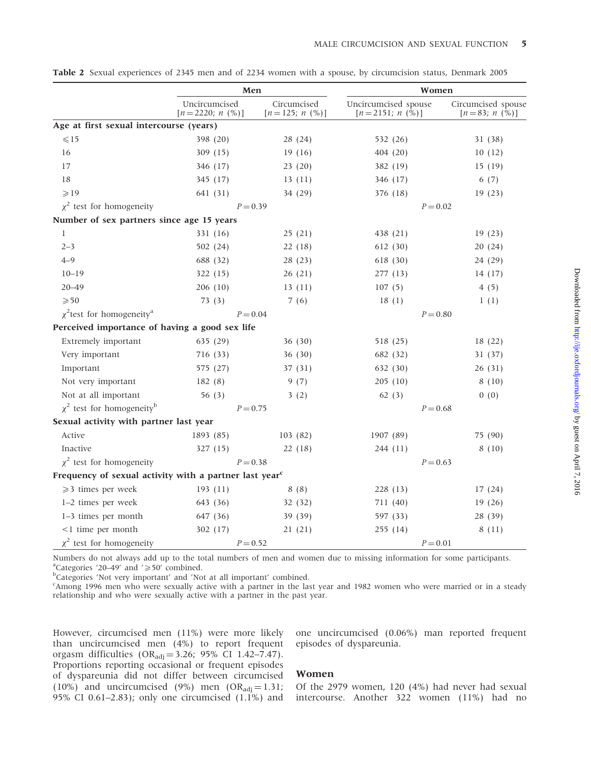|                                                                    | Men                                 |                                  | Women                                     |                                        |
|--------------------------------------------------------------------|-------------------------------------|----------------------------------|-------------------------------------------|----------------------------------------|
|                                                                    | Uncircumcised<br>$[n=2220; n (\%)]$ | Circumcised<br>$[n=125; n (\%)]$ | Uncircumcised spouse<br>$[n=2151; n (%)]$ | Circumcised spouse<br>$[n=83; n (\%)]$ |
| Age at first sexual intercourse (years)                            |                                     |                                  |                                           |                                        |
| $\leq 15$                                                          | 398 (20)                            | 28 (24)                          | 532 (26)                                  | 31(38)                                 |
| 16                                                                 | 309 (15)                            | 19(16)                           | 404 (20)                                  | 10(12)                                 |
| 17                                                                 | 346 (17)                            | 23(20)                           | 382 (19)                                  | 15(19)                                 |
| 18                                                                 | 345 (17)                            | 13(11)                           | 346 (17)                                  | 6(7)                                   |
| $\geqslant$ 19                                                     | 641 (31)                            | 34 (29)                          | 376 (18)                                  | 19(23)                                 |
| $\chi^2$ test for homogeneity                                      | $P = 0.39$                          |                                  | $P = 0.02$                                |                                        |
| Number of sex partners since age 15 years                          |                                     |                                  |                                           |                                        |
| 1                                                                  | 331 (16)                            | 25(21)                           | 438 (21)                                  | 19(23)                                 |
| $2 - 3$                                                            | 502 (24)                            | 22 (18)                          | 612(30)                                   | 20(24)                                 |
| $4 - 9$                                                            | 688 (32)                            | 28 (23)                          | 618 (30)                                  | 24 (29)                                |
| $10 - 19$                                                          | 322(15)                             | 26(21)                           | 277 (13)                                  | 14 (17)                                |
| $20 - 49$                                                          | 206(10)                             | 13(11)                           | 107(5)                                    | 4 (5)                                  |
| $\geqslant 50$                                                     | 73(3)                               | 7(6)                             | 18(1)                                     | 1(1)                                   |
| $\chi^2$ test for homogeneity <sup>a</sup>                         | $P = 0.04$                          |                                  | $P = 0.80$                                |                                        |
| Perceived importance of having a good sex life                     |                                     |                                  |                                           |                                        |
| Extremely important                                                | 635 (29)                            | 36 (30)                          | 518 (25)                                  | 18(22)                                 |
| Very important                                                     | 716 (33)                            | 36 (30)                          | 682 (32)                                  | 31 (37)                                |
| Important                                                          | 575 (27)                            | 37 (31)                          | 632 (30)                                  | 26(31)                                 |
| Not very important                                                 | 182(8)                              | 9(7)                             | 205(10)                                   | 8(10)                                  |
| Not at all important                                               | 56(3)                               | 3(2)                             | 62(3)                                     | 0(0)                                   |
| $\chi^2$ test for homogeneity <sup>b</sup>                         | $P = 0.75$                          |                                  | $P = 0.68$                                |                                        |
| Sexual activity with partner last year                             |                                     |                                  |                                           |                                        |
| Active                                                             | 1893 (85)                           | 103(82)                          | 1907 (89)                                 | 75 (90)                                |
| Inactive                                                           | 327 (15)                            | 22(18)                           | 244(11)                                   | 8(10)                                  |
| $\chi^2$ test for homogeneity                                      | $P = 0.38$                          |                                  | $P = 0.63$                                |                                        |
| Frequency of sexual activity with a partner last year <sup>c</sup> |                                     |                                  |                                           |                                        |
| $\geqslant$ 3 times per week                                       | 193(11)                             | 8 (8)                            | 228 (13)                                  | 17(24)                                 |
| 1-2 times per week                                                 | 643 (36)                            | 32 (32)                          | 711 (40)                                  | 19(26)                                 |
| 1-3 times per month                                                | 647 (36)                            | 39 (39)                          | 597 (33)                                  | 28 (39)                                |
| <1 time per month                                                  | 302 (17)                            | 21(21)                           | 255 (14)                                  | 8(11)                                  |
| $\chi^2$ test for homogeneity                                      | $P = 0.52$                          |                                  | $P = 0.01$                                |                                        |

Table 2 Sexual experiences of 2345 men and of 2234 women with a spouse, by circumcision status, Denmark 2005

Numbers do not always add up to the total numbers of men and women due to missing information for some participants. <sup>a</sup>Categories '20–49' and ' $\geq 50'$  combined.

<sup>b</sup>Categories 'Not very important' and 'Not at all important' combined.

c Among 1996 men who were sexually active with a partner in the last year and 1982 women who were married or in a steady relationship and who were sexually active with a partner in the past year.

However, circumcised men (11%) were more likely than uncircumcised men (4%) to report frequent orgasm difficulties ( $OR_{\text{adj}} = 3.26$ ; 95% CI 1.42-7.47). Proportions reporting occasional or frequent episodes of dyspareunia did not differ between circumcised (10%) and uncircumcised (9%) men  $(OR_{\text{adj}} = 1.31)$ ; 95% CI 0.61–2.83); only one circumcised (1.1%) and one uncircumcised (0.06%) man reported frequent episodes of dyspareunia.

#### Women

Of the 2979 women, 120 (4%) had never had sexual intercourse. Another 322 women (11%) had no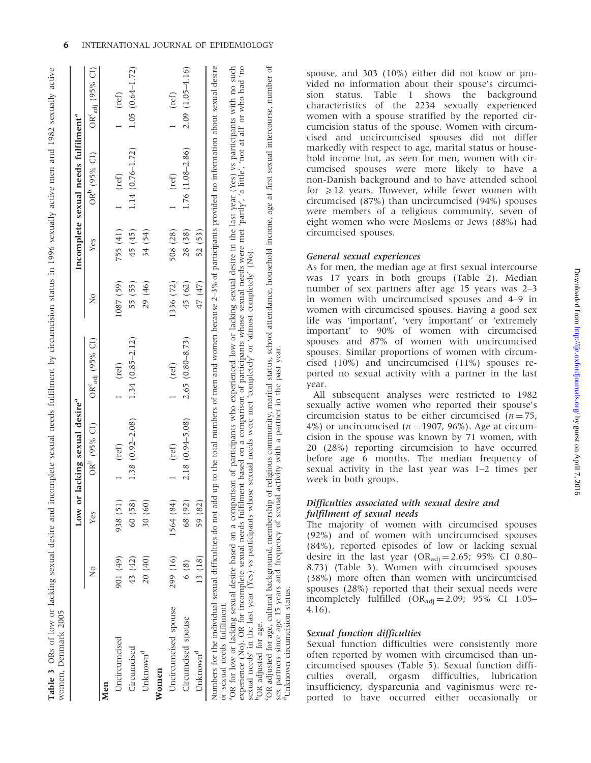| OR <sup>c</sup> adj (95% CI)<br>$1.34(0.85 - 2.12)$<br>$2.65(0.80 - 8.73)$<br>$1$ (ref)<br>(ref)<br>$1.38(0.92-2.08)$<br>$2.18(0.94 - 5.08)$<br>OR <sup>b</sup> (95% CI)<br>$1$ (ref)<br>(ref)<br>938 (51)<br>1564 (84)<br>59 (82)<br>68 (92)<br>60 (58)<br>30 (60)<br>Yes<br>299 (16)<br>901 (49)<br>13 (18)<br>20 (40)<br>43 (42)<br>6(8)<br>$_{\rm Xo}$<br>Uncircumcised spouse<br>Circumcised spouse<br>Uncircumcised<br>Circumcised<br>Unknown $^{d}$<br>Unknown <sup>d</sup><br>Men | Low or lacking sexual desire <sup>a</sup> |                |          | Incomplete sexual needs fulfilment <sup>a</sup> |                                       |
|-------------------------------------------------------------------------------------------------------------------------------------------------------------------------------------------------------------------------------------------------------------------------------------------------------------------------------------------------------------------------------------------------------------------------------------------------------------------------------------------|-------------------------------------------|----------------|----------|-------------------------------------------------|---------------------------------------|
|                                                                                                                                                                                                                                                                                                                                                                                                                                                                                           |                                           | $\overline{X}$ | Yes      | OR <sup>b</sup> (95% CI)                        | $OR_{\text{adj}}^c (95\% \text{ CI})$ |
|                                                                                                                                                                                                                                                                                                                                                                                                                                                                                           |                                           |                |          |                                                 |                                       |
| Women                                                                                                                                                                                                                                                                                                                                                                                                                                                                                     |                                           | 1087 (59)      | 755 (41) | $1$ (ref)                                       | $1$ (ref)                             |
|                                                                                                                                                                                                                                                                                                                                                                                                                                                                                           |                                           | 55 (55)        | 45 (45)  | $1.14(0.76 - 1.72)$                             | $1.05(0.64 - 1.72)$                   |
|                                                                                                                                                                                                                                                                                                                                                                                                                                                                                           |                                           | 29 (46)        | 34 (54)  |                                                 |                                       |
|                                                                                                                                                                                                                                                                                                                                                                                                                                                                                           |                                           |                |          |                                                 |                                       |
|                                                                                                                                                                                                                                                                                                                                                                                                                                                                                           |                                           | 1336 (72)      | 508 (28) | (ref)                                           | (ref)                                 |
|                                                                                                                                                                                                                                                                                                                                                                                                                                                                                           |                                           | 45 (62)        | 28 (38)  | $1.76$ $(1.08 - 2.86)$                          | $2.09(1.05-4.16)$                     |
|                                                                                                                                                                                                                                                                                                                                                                                                                                                                                           |                                           | 47 (47)        | 52 (53)  |                                                 |                                       |
| Numbers for the individual sexual difficulties do not add up to the total numbers of men and women because 2–3% of participants provided no information about sexual desire<br>or sexual needs fulfilment.                                                                                                                                                                                                                                                                                |                                           |                |          |                                                 |                                       |

ى مدرسات مدة المعامل المعالمين المعالمين المعامل المعاملات المعاملات المعاملات المعاملات المعامل المعاملات الم<br>"OR adjusted for age, cultural background, membership of religious community, marital status, school attendanc comparison of participants whose sexual needs were met 'partly', 'a little', 'not at all' or who had 'no experience (No). OR for incomplete sexual needs fulfilment based on a comparison of participants whose sexual needs were met 'partly', 'a little', 'not at all' or who had 'no cOR adjusted for age, cultural background, membership of religious community, marital status, school attendance, household income, age at first sexual intercourse, number of experience (N0). OR for incomplete sexual needs fulfilment based on a comparison of participants whose sexual needs were<br>sexual needs' in the last year (Yes) vs participants whose sexual needs were met 'completely' or 'alm sexual needs' in the last year (Yes) vs participants whose sexual needs were met 'completely' or 'almost completely' (No). sex partners since age 15 years and frequency of sexual activity with a partner in the past year. for age. bOR adjusted for age. 'OR adjusted

spouse, and 303 (10%) either did not know or provided no information about their spouse's circumcision status. Table 1 shows the background characteristics of the 2234 sexually experienced women with a spouse stratified by the reported circumcision status of the spouse. Women with circumcised and uncircumcised spouses did not differ markedly with respect to age, marital status or household income but, as seen for men, women with circumcised spouses were more likely to have a non-Danish background and to have attended school for  $\geq 12$  years. However, while fewer women with circumcised (87%) than uncircumcised (94%) spouses were members of a religious community, seven of eight women who were Moslems or Jews (88%) had circumcised spouses.

#### General sexual experiences

As for men, the median age at first sexual intercourse was 17 years in both groups (Table 2). Median number of sex partners after age 15 years was 2–3 in women with uncircumcised spouses and 4–9 in women with circumcised spouses. Having a good sex life was 'important', 'very important' or 'extremely important' to 90% of women with circumcised spouses and 87% of women with uncircumcised spouses. Similar proportions of women with circumcised (10%) and uncircumcised (11%) spouses reported no sexual activity with a partner in the last year.

All subsequent analyses were restricted to 1982 sexually active women who reported their spouse's circumcision status to be either circumcised  $(n = 75)$ , 4%) or uncircumcised ( $n = 1907, 96%$ ). Age at circumcision in the spouse was known by 71 women, with 20 (28%) reporting circumcision to have occurred before age 6 months. The median frequency of sexual activity in the last year was 1–2 times per week in both groups.

#### Difficulties associated with sexual desire and fulfilment of sexual needs

The majority of women with circumcised spouses (92%) and of women with uncircumcised spouses (84%), reported episodes of low or lacking sexual desire in the last year (OR<sub>adj</sub> = 2.65; 95% CI 0.80– 8.73) (Table 3). Women with circumcised spouses (38%) more often than women with uncircumcised spouses (28%) reported that their sexual needs were incompletely fulfilled  $(OR_{\text{adj}} = 2.09; 95\% \text{ CI } 1.05-$ 4.16).

#### Sexual function difficulties

dUnknown circumcision status.

Sexual function difficulties were consistently more often reported by women with circumcised than uncircumcised spouses (Table 5). Sexual function difficulties overall, orgasm difficulties, lubrication insufficiency, dyspareunia and vaginismus were reported to have occurred either occasionally or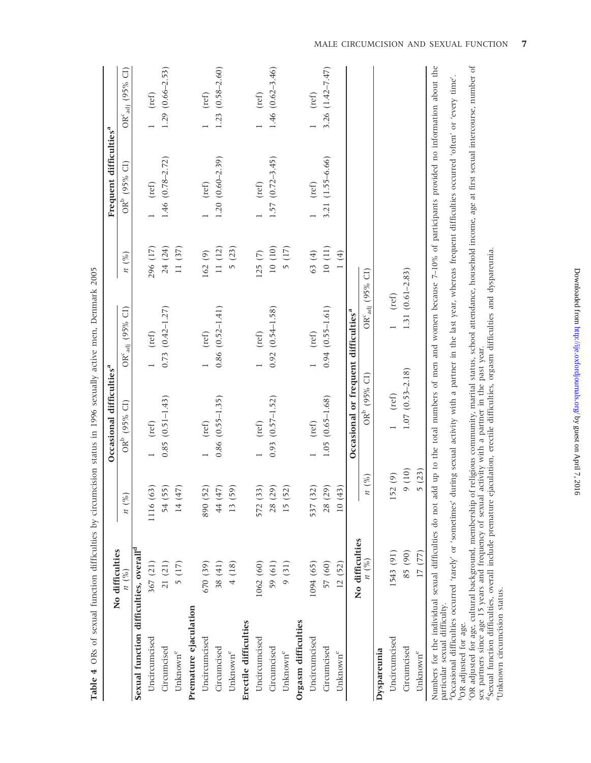|                                                                    | No difficulties                                                                                                                                                                         |                         | Occasional difficulties <sup>a</sup>             |                                                                                                                                                                                                                                                                                                                                                                    |          | Frequent difficulties <sup>a</sup> |                                            |
|--------------------------------------------------------------------|-----------------------------------------------------------------------------------------------------------------------------------------------------------------------------------------|-------------------------|--------------------------------------------------|--------------------------------------------------------------------------------------------------------------------------------------------------------------------------------------------------------------------------------------------------------------------------------------------------------------------------------------------------------------------|----------|------------------------------------|--------------------------------------------|
|                                                                    | $n\; (%)$                                                                                                                                                                               | n(%)                    | OR <sup>b</sup> (95% CI)                         | $ORc$ adj (95% CI)                                                                                                                                                                                                                                                                                                                                                 | n(%)     | OR <sup>b</sup> (95% CI)           | $\widehat{c}$<br>$ORc$ <sub>adj</sub> (95% |
| Sexual function difficulties, overall <sup>d</sup>                 |                                                                                                                                                                                         |                         |                                                  |                                                                                                                                                                                                                                                                                                                                                                    |          |                                    |                                            |
| Uncircumcised                                                      | 367 (21)                                                                                                                                                                                | (63)<br>1116            | (ref)<br>$\overline{ }$                          | (ref)                                                                                                                                                                                                                                                                                                                                                              | 296 (17) | (ref)                              | (rcf)                                      |
| Circumcised                                                        | 21 (21)                                                                                                                                                                                 | (55)<br>54              | $0.85(0.51 - 1.43)$                              | $0.73$ $(0.42 - 1.27)$                                                                                                                                                                                                                                                                                                                                             | 24 (24)  | $1.46(0.78-2.72)$                  | $1.29(0.66 - 2.53)$                        |
| Unknown <sup>e</sup>                                               | 5(17)                                                                                                                                                                                   | (47)<br>$\overline{14}$ |                                                  |                                                                                                                                                                                                                                                                                                                                                                    | 11(37)   |                                    |                                            |
| Premature ejaculation                                              |                                                                                                                                                                                         |                         |                                                  |                                                                                                                                                                                                                                                                                                                                                                    |          |                                    |                                            |
| Uncircumcised                                                      | 670 (39)                                                                                                                                                                                | (52)<br>890             | (ref)                                            | (rcf)                                                                                                                                                                                                                                                                                                                                                              | 162(9)   | (ref)                              | (rcf)                                      |
| Circumcised                                                        | 38 (41)                                                                                                                                                                                 | (47)<br>4               | $0.86(0.55-1.35)$                                | $0.86(0.52 - 1.41)$                                                                                                                                                                                                                                                                                                                                                | 11 (12)  | $1.20(0.60-2.39)$                  | $1.23(0.58-2.60)$                          |
| Unknown <sup>e</sup>                                               | 4(18)                                                                                                                                                                                   | 59)<br>13               |                                                  |                                                                                                                                                                                                                                                                                                                                                                    | 5(23)    |                                    |                                            |
| Erectile difficulties                                              |                                                                                                                                                                                         |                         |                                                  |                                                                                                                                                                                                                                                                                                                                                                    |          |                                    |                                            |
| Uncircumcised                                                      | 1062 (60)                                                                                                                                                                               | (33)<br>572             | (ref)                                            | (ref)                                                                                                                                                                                                                                                                                                                                                              | 125(7)   | (ref)                              | (rcf)                                      |
| Circumcised                                                        | 59 (61)                                                                                                                                                                                 | (29)<br>28              | $0.93$ $(0.57 - 1.52)$                           | $0.92(0.54 - 1.58)$                                                                                                                                                                                                                                                                                                                                                | 10(10)   | $1.57(0.72 - 3.45)$                | 1.46 $(0.62 - 3.46)$                       |
| $Unknown^e$                                                        | 9(31)                                                                                                                                                                                   | (52)<br>15              |                                                  |                                                                                                                                                                                                                                                                                                                                                                    | 5 (17)   |                                    |                                            |
| Orgasm difficulties                                                |                                                                                                                                                                                         |                         |                                                  |                                                                                                                                                                                                                                                                                                                                                                    |          |                                    |                                            |
| Uncircumcised                                                      | 1094 (65)                                                                                                                                                                               | (32)<br>537             | (ref)                                            | (ref)                                                                                                                                                                                                                                                                                                                                                              | 63 (4)   | (ref)                              | (rcf)                                      |
| Circumcised                                                        | 57 (60)                                                                                                                                                                                 | (29)<br>28              | $1.05(0.65 - 1.68)$                              | $0.94(0.55 - 1.61)$                                                                                                                                                                                                                                                                                                                                                | 10(11)   | 3.21 (1.55-6.66)                   | $3.26(1.42 - 7.47)$                        |
| Unknown <sup>e</sup>                                               | 12(52)                                                                                                                                                                                  | (43)<br>$\overline{10}$ |                                                  |                                                                                                                                                                                                                                                                                                                                                                    | 1(4)     |                                    |                                            |
|                                                                    | No difficulties                                                                                                                                                                         |                         | Occasional or frequent difficulties <sup>a</sup> |                                                                                                                                                                                                                                                                                                                                                                    |          |                                    |                                            |
|                                                                    | $n\; (%)$                                                                                                                                                                               | (%)<br>$\mu$            | OR <sup>b</sup> (95% CI)                         | OR' <sub>adj</sub> (95% CI)                                                                                                                                                                                                                                                                                                                                        |          |                                    |                                            |
| Dyspareunia                                                        |                                                                                                                                                                                         |                         |                                                  |                                                                                                                                                                                                                                                                                                                                                                    |          |                                    |                                            |
| Uncircumcised                                                      | 1543 (91)                                                                                                                                                                               | 152 (9)                 | (ref)                                            | (ref)                                                                                                                                                                                                                                                                                                                                                              |          |                                    |                                            |
| Circumcised                                                        | 85 (90)                                                                                                                                                                                 | 9(10)                   | $1.07(0.53 - 2.18)$                              | $1.31(0.61 - 2.83)$                                                                                                                                                                                                                                                                                                                                                |          |                                    |                                            |
| $Unknowne$                                                         | 17 (77)                                                                                                                                                                                 | (23)<br>$\sqrt{2}$      |                                                  |                                                                                                                                                                                                                                                                                                                                                                    |          |                                    |                                            |
| particular sexual difficulty.<br><sup>b</sup> OR adjusted for age. | <sup>a</sup> Occasional difficulties occurred 'rarely' or 'sometimes'<br>'OR adjusted for age, cultural background, membership<br>Numbers for the individual sexual difficulties do not |                         |                                                  | add up to the total numbers of men and women because 7-10% of participants provided no information about the<br>of religious community, marital status, school attendance, household income, age at first sexual intercourse, number of<br>during sexual activity with a partner in the last year, whereas frequent difficulties occurred 'often' or 'every time'. |          |                                    |                                            |
|                                                                    | sex nartners since age 15 years and frequency of sexual activity with a nartner in the past year                                                                                        |                         |                                                  |                                                                                                                                                                                                                                                                                                                                                                    |          |                                    |                                            |

 $\frac{1}{\sqrt{2}}$  $\ddot{\epsilon}$ ٣Ļ ة ec:<br>منابعة ec:  $\frac{1}{2}$  $\ddot{ }$ 

sex partners since age 15 years and frequency of sexual activity with a partner in the past year.<br><sup>d</sup>Sexual function difficulties, overall include premature ejaculation, erectile difficulties, orgasm difficulties and dyspa sex partners since age 15 years and frequency of sexual activity with a partner in the past year.

dSexual function difficulties, overall include premature ejaculation, erectile difficulties, orgasm difficulties and dyspareunia. eUnknown circumcision status.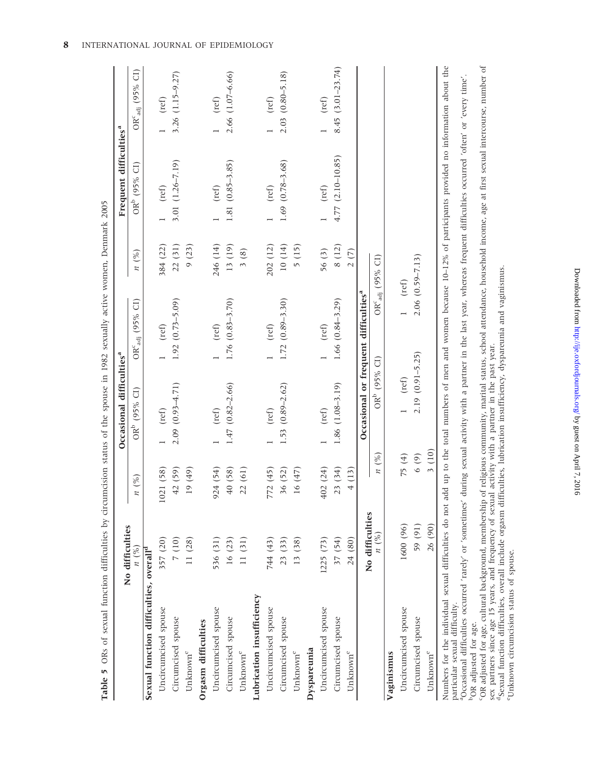|                                                                                          | No difficulties |                                  | Occasional difficulties <sup>a</sup> |                                                  |                                  | Frequent difficulties <sup>a</sup>                                                                                      |                                                            |
|------------------------------------------------------------------------------------------|-----------------|----------------------------------|--------------------------------------|--------------------------------------------------|----------------------------------|-------------------------------------------------------------------------------------------------------------------------|------------------------------------------------------------|
|                                                                                          | n(%)            | $n\left(\frac{\infty}{6}\right)$ | $(95%$ CI)<br>$OR^b$                 | OR <sup>c</sup> adj (95% CI)                     | $n\left(\frac{\infty}{6}\right)$ | $\widehat{c}$<br>OR <sup>b</sup> (95%                                                                                   | $\widehat{\cup}$<br>$\text{OR}^\text{c}_{\text{adj}}$ (95% |
| Sexual function difficulties, overall <sup>d</sup>                                       |                 |                                  |                                      |                                                  |                                  |                                                                                                                         |                                                            |
| Uncircumcised spouse                                                                     | 357 (20)        | 1021 (58)                        | (ref)                                | (ref)                                            | 384 (22)                         | (ref)                                                                                                                   | (ref)                                                      |
| Circumcised spouse                                                                       | 7(10)           | 42 (59)                          | $2.09(0.93 - 4.71)$                  | $(0.73 - 5.09)$<br>1.92                          | 22(31)                           | $3.01(1.26 - 7.19)$                                                                                                     | $3.26$ (1.15-9.27)                                         |
| Unknown <sup>e</sup>                                                                     | 11(28)          | 19(49)                           |                                      |                                                  | 9(23)                            |                                                                                                                         |                                                            |
| Orgasm difficulties                                                                      |                 |                                  |                                      |                                                  |                                  |                                                                                                                         |                                                            |
| Uncircumcised spouse                                                                     | 536 (31)        | 924 (54)                         | (ref)                                | (ref)                                            | 246 (14)                         | (ref)                                                                                                                   | (ref)                                                      |
| Circumcised spouse                                                                       | 16(23)          | 40 (58)                          | $1.47(0.82 - 2.66)$                  | $1.76$ $(0.83-3.70)$                             | 13 (19)                          | $1.81(0.85-3.85)$                                                                                                       | $2.66$ $(1.07-6.66)$                                       |
| Unknown <sup>e</sup>                                                                     | 11(31)          | 22(61)                           |                                      |                                                  | 3(8)                             |                                                                                                                         |                                                            |
| Lubrication insufficiency                                                                |                 |                                  |                                      |                                                  |                                  |                                                                                                                         |                                                            |
| Uncircumcised spouse                                                                     | 744 (43)        | 772 (45)                         | (ref)                                | (ref)                                            | 202 (12)                         | (ref)                                                                                                                   | (ref)                                                      |
| Circumcised spouse                                                                       | 23 (33)         | 36 (52)                          | $1.53(0.89 - 2.62)$                  | $(0.89 - 3.30)$<br>1.72                          | 10(14)                           | $1.69$ (0.78-3.68)                                                                                                      | $2.03(0.80 - 5.18)$                                        |
| Unknown <sup>e</sup>                                                                     | 13(38)          | 16(47)                           |                                      |                                                  | 5 (15)                           |                                                                                                                         |                                                            |
| Dyspareunia                                                                              |                 |                                  |                                      |                                                  |                                  |                                                                                                                         |                                                            |
| Uncircumcised spouse                                                                     | 1225 (73)       | 402 (24)                         | (ref)                                | (ref)                                            | 56 (3)                           | (ref)                                                                                                                   | (ref)                                                      |
| Circumcised spouse                                                                       | 37 (54)         | 23 (34)                          | $1.86(1.08-3.19)$                    | $1.66$ $(0.84-3.29)$                             | 8 (12)                           | $4.77(2.10-10.85)$                                                                                                      | $8.45(3.01-23.74)$                                         |
| Unknown <sup>e</sup>                                                                     | 24 (80)         | 4(13)                            |                                      |                                                  | 2(7)                             |                                                                                                                         |                                                            |
|                                                                                          | No difficulties |                                  |                                      | Occasional or frequent difficulties <sup>a</sup> |                                  |                                                                                                                         |                                                            |
|                                                                                          | $n\; (%)$       | $n\left(\frac{\infty}{6}\right)$ | OR <sup>b</sup> (95% CI)             |                                                  | $OR_{\text{adj}}$ (95% CI)       |                                                                                                                         |                                                            |
| Vaginismus                                                                               |                 |                                  |                                      |                                                  |                                  |                                                                                                                         |                                                            |
| Uncircumcised spouse                                                                     | 1600 (96)       | 75 (4)                           | (ref)                                | (ref)                                            |                                  |                                                                                                                         |                                                            |
| Circumcised spouse                                                                       | 59 (91)         | (6)                              | $2.19(0.91 - 5.25)$                  |                                                  | $2.06(0.59 - 7.13)$              |                                                                                                                         |                                                            |
| Unknown <sup>e</sup>                                                                     | 26 (90)         | 3(10)                            |                                      |                                                  |                                  |                                                                                                                         |                                                            |
| Numbers for the individual sexual difficulties do not a<br>particular sexual difficulty. |                 |                                  |                                      |                                                  |                                  | dd up to the total numbers of men and women because 10-12% of participants provided no information about the            |                                                            |
| <sup>a</sup> Occasional difficulties occurred 'rarely' or 'sometimes'                    |                 |                                  |                                      |                                                  |                                  | during sexual activity with a partner in the last year, whereas frequent difficulties occurred 'often' or 'every time'. |                                                            |
| <sup>b</sup> OR adjusted for age.                                                        |                 |                                  |                                      |                                                  |                                  |                                                                                                                         |                                                            |
| 'OR adjusted for age, cultural background, membership                                    |                 |                                  |                                      |                                                  |                                  | of religious community, marital status, school attendance, household income, age at first sexual intercourse, number of |                                                            |

sex partners since age 15 years, and frequency of sexual activity with a partner in the past year.<br>"Sexual function difficulties, overall include orgasm difficulties, lubrication insufficiency, dyspareunia and vaginismus.<br> sex partners since age 15 years, and frequency of sexual activity with a partner in the past year.

dSexual function difficulties, overall include orgasm difficulties, lubrication insufficiency, dyspareunia and vaginismus.

eUnknown circumcision status of spouse.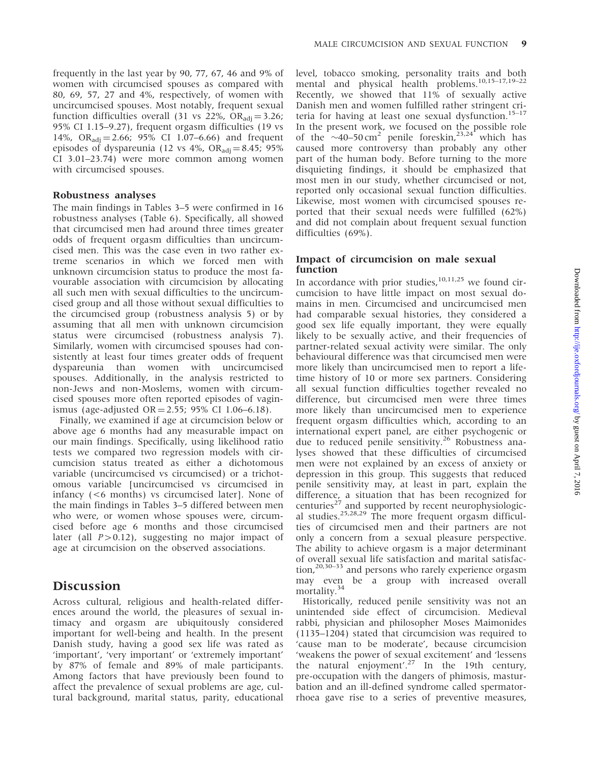frequently in the last year by 90, 77, 67, 46 and 9% of women with circumcised spouses as compared with 80, 69, 57, 27 and 4%, respectively, of women with uncircumcised spouses. Most notably, frequent sexual function difficulties overall (31 vs 22%,  $OR_{\text{adj}} = 3.26$ ; 95% CI 1.15–9.27), frequent orgasm difficulties (19 vs 14%,  $OR_{\text{adi}} = 2.66$ ; 95% CI 1.07-6.66) and frequent episodes of dyspareunia (12 vs 4%,  $OR_{\text{adj}} = 8.45$ ; 95% CI 3.01–23.74) were more common among women with circumcised spouses.

#### Robustness analyses

The main findings in Tables 3–5 were confirmed in 16 robustness analyses (Table 6). Specifically, all showed that circumcised men had around three times greater odds of frequent orgasm difficulties than uncircumcised men. This was the case even in two rather extreme scenarios in which we forced men with unknown circumcision status to produce the most favourable association with circumcision by allocating all such men with sexual difficulties to the uncircumcised group and all those without sexual difficulties to the circumcised group (robustness analysis 5) or by assuming that all men with unknown circumcision status were circumcised (robustness analysis 7). Similarly, women with circumcised spouses had consistently at least four times greater odds of frequent dyspareunia than women with uncircumcised spouses. Additionally, in the analysis restricted to non-Jews and non-Moslems, women with circumcised spouses more often reported episodes of vaginismus (age-adjusted  $OR = 2.55$ ; 95% CI 1.06–6.18).

Finally, we examined if age at circumcision below or above age 6 months had any measurable impact on our main findings. Specifically, using likelihood ratio tests we compared two regression models with circumcision status treated as either a dichotomous variable (uncircumcised vs circumcised) or a trichotomous variable [uncircumcised vs circumcised in infancy (<6 months) vs circumcised later]. None of the main findings in Tables 3–5 differed between men who were, or women whose spouses were, circumcised before age 6 months and those circumcised later (all  $P > 0.12$ ), suggesting no major impact of age at circumcision on the observed associations.

#### Discussion

Across cultural, religious and health-related differences around the world, the pleasures of sexual intimacy and orgasm are ubiquitously considered important for well-being and health. In the present Danish study, having a good sex life was rated as 'important', 'very important' or 'extremely important' by 87% of female and 89% of male participants. Among factors that have previously been found to affect the prevalence of sexual problems are age, cultural background, marital status, parity, educational level, tobacco smoking, personality traits and both mental and physical health problems.<sup>10,15-17,19-22</sup> Recently, we showed that 11% of sexually active Danish men and women fulfilled rather stringent criteria for having at least one sexual dysfunction.<sup>15-17</sup> In the present work, we focused on the possible role of the  $\sim$ 40–50 cm<sup>2</sup> penile foreskin,<sup>23,24</sup> which has caused more controversy than probably any other part of the human body. Before turning to the more disquieting findings, it should be emphasized that most men in our study, whether circumcised or not, reported only occasional sexual function difficulties. Likewise, most women with circumcised spouses reported that their sexual needs were fulfilled (62%) and did not complain about frequent sexual function difficulties (69%).

#### Impact of circumcision on male sexual function

In accordance with prior studies, $10,11,25$  we found circumcision to have little impact on most sexual domains in men. Circumcised and uncircumcised men had comparable sexual histories, they considered a good sex life equally important, they were equally likely to be sexually active, and their frequencies of partner-related sexual activity were similar. The only behavioural difference was that circumcised men were more likely than uncircumcised men to report a lifetime history of 10 or more sex partners. Considering all sexual function difficulties together revealed no difference, but circumcised men were three times more likely than uncircumcised men to experience frequent orgasm difficulties which, according to an international expert panel, are either psychogenic or due to reduced penile sensitivity.<sup>26</sup> Robustness analyses showed that these difficulties of circumcised men were not explained by an excess of anxiety or depression in this group. This suggests that reduced penile sensitivity may, at least in part, explain the difference, a situation that has been recognized for centuries $^{27}$  and supported by recent neurophysiological studies.25,28,29 The more frequent orgasm difficulties of circumcised men and their partners are not only a concern from a sexual pleasure perspective. The ability to achieve orgasm is a major determinant of overall sexual life satisfaction and marital satisfaction, $2^{0,30-33}$  and persons who rarely experience orgasm may even be a group with increased overall mortality.<sup>34</sup>

Historically, reduced penile sensitivity was not an unintended side effect of circumcision. Medieval rabbi, physician and philosopher Moses Maimonides (1135–1204) stated that circumcision was required to 'cause man to be moderate', because circumcision 'weakens the power of sexual excitement' and 'lessens the natural enjoyment'.<sup>27</sup> In the 19th century, pre-occupation with the dangers of phimosis, masturbation and an ill-defined syndrome called spermatorrhoea gave rise to a series of preventive measures,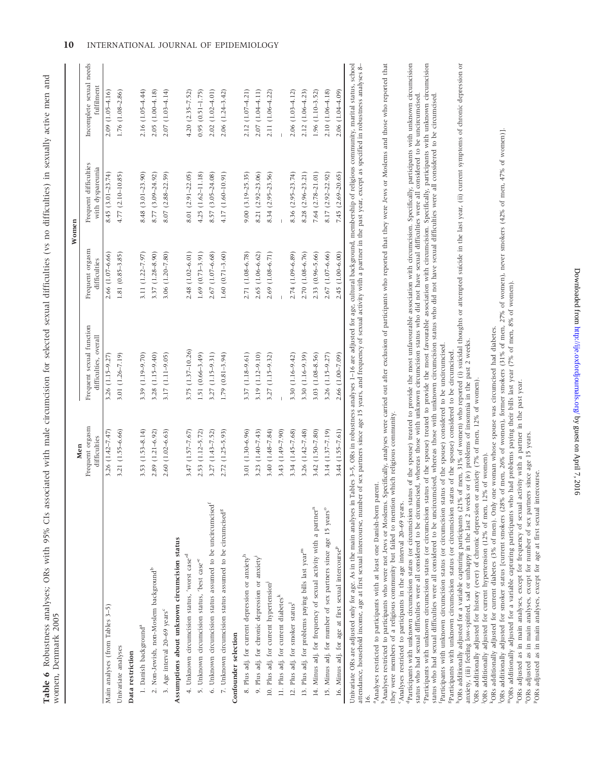Table 6 Robustness analyses; ORs with 95% CIs associated with male circumcision for selected sexual difficulties (vs no difficulties) in sexually active men and Table 6 Robustness analyses; ORs with 95% CIs associated with male circumcision for selected sexual difficulties (vs no difficulties) in sexually active men and women. Denmark 2005 women, Denmark 2005

|                                                                                                                                                                                                                                   | Men                             |                                                   |                                 | Women                                     |                                       |
|-----------------------------------------------------------------------------------------------------------------------------------------------------------------------------------------------------------------------------------|---------------------------------|---------------------------------------------------|---------------------------------|-------------------------------------------|---------------------------------------|
|                                                                                                                                                                                                                                   | Frequent orgasm<br>difficulties | Frequent sexual function<br>difficulties, overall | Frequent orgasm<br>difficulties | Frequent difficulties<br>with dyspareunia | Incomplete sexual needs<br>fulfilment |
| Main analyses (from Tables 3-5)                                                                                                                                                                                                   | 3.26 $(1.42 - 7.47)$            | 3.26 (1.15-9.27)                                  | 2.66 (1.07-6.66)                | $8.45(3.01-23.74)$                        | $2.09(1.05-4.16)$                     |
| Univariate analyses                                                                                                                                                                                                               | 3.21 (1.55-6.66)                | 3.01 $(1.26 - 7.19)$                              | $1.81(0.85-3.85)$               | $4.77(2.10-10.85)$                        | 1.76 (1.08-2.86)                      |
| Data restriction                                                                                                                                                                                                                  |                                 |                                                   |                                 |                                           |                                       |
| 1. Danish background <sup>a</sup>                                                                                                                                                                                                 | $3.53(1.53 - 8.14)$             | 3.39 (1.19-9.70)                                  | 3.11 (1.22-7.97)                | 8.48 (3.01-23.90)                         | 2.16 (1.05-4.44)                      |
| 2. Non-Jewish, non-Moslem background <sup>b</sup>                                                                                                                                                                                 | 2.89 (1.21-6.92)                | 3.28 (1.15-9.40)                                  | $3.37(1.28-8.90)$               | 8.77 (3.09-24.92)                         | $2.05(1.00-4.18)$                     |
| 3. Age interval 20-69 years <sup>c</sup>                                                                                                                                                                                          | $2.60(1.02 - 6.63)$             | 3.17 (1.11-9.05)                                  | 3.06 $(1.20 - 7.80)$            | 8.07 (2.88-22.59)                         | $2.07(1.03 - 4.14)$                   |
| Assumptions about unknown circumcision status                                                                                                                                                                                     |                                 |                                                   |                                 |                                           |                                       |
| 4. Unknown circumcision status, 'worst case' <sup>d</sup>                                                                                                                                                                         | $3.47(1.57 - 7.67)$             | 3.75 (1.37-10.26)                                 | $2.48(1.02 - 6.01)$             | 8.01 (2.91-22.05)                         | $4.20(2.35 - 7.52)$                   |
| 5. Unknown circumcision status, 'best case' <sup>e</sup>                                                                                                                                                                          | 2.53 (1.12-5.72)                | $1.51(0.66-3.49)$                                 | $1.69(0.73-3.91)$               | $4.25(1.62 - 11.18)$                      | $0.95(0.51 - 1.75)$                   |
| 6. Unknown circumcision status assumed to be uncircumcised                                                                                                                                                                        | $3.27(1.43 - 7.52)$             | 3.27 (1.15-9.31)                                  | $2.67(1.07 - 6.68)$             | 8.57 (3.05-24.08)                         | $2.02(1.02 - 4.01)$                   |
| 7. Unknown circumcision status assumed to be circumcised <sup>8</sup>                                                                                                                                                             | $2.72(1.25-5.93)$               | $1.79(0.81-3.94)$                                 | $1.60(0.71-3.60)$               | 4.17 (1.60-10.91)                         | $2.06(1.24-3.42)$                     |
| Confounder selection                                                                                                                                                                                                              |                                 |                                                   |                                 |                                           |                                       |
| 8. Plus adj. for current depression or anxiety <sup>h</sup>                                                                                                                                                                       | 3.01 (1.30-6.96)                | 3.37 (1.18-9.61)                                  | 2.71 (1.08-6.78)                | $9.00(3.19-25.35)$                        | $2.12(1.07 - 4.21)$                   |
| 9. Plus adj. for chronic depression or anxiety                                                                                                                                                                                    | $3.23(1.40 - 7.43)$             | 3.19 (1.12-9.10)                                  | $2.65$ (1.06-6.62)              | 8.21 (2.92-23.06)                         | $2.07(1.04 - 4.11)$                   |
| 10. Plus adj. for current hypertension <sup>1</sup>                                                                                                                                                                               | $3.40(1.48 - 7.84)$             | 3.27 (1.15-9.32)                                  | 2.69 (1.08-6.71)                | 8.34 (2.95-23.56)                         | 2.11 (1.06-4.22)                      |
| 11. Plus adj. for current diabetes <sup>k</sup>                                                                                                                                                                                   | 3.43 (1.49-7.90)                |                                                   |                                 |                                           |                                       |
| 12. Plus adj. for smoker status <sup>1</sup>                                                                                                                                                                                      | 3.34 (1.45-7.68)                | 3.30 $(1.16 - 9.42)$                              | 2.74 (1.09-6.89)                | 8.36 (2.95-23.74)                         | $2.06(1.03 - 4.12)$                   |
| 13. Plus adj. for problems paying bills last year <sup>m</sup>                                                                                                                                                                    | 3.26 $(1.42 - 7.48)$            | 3.30 (1.16-9.39)                                  | $2.70(1.08-6.76)$               | 8.28 (2.96-23.21)                         | $2.12(1.06-4.23)$                     |
| 14. Minus adj. for frequency of sexual activity with a partner <sup>n</sup>                                                                                                                                                       | 3.42 $(1.50 - 7.80)$            | 3.03 (1.08-8.56)                                  | $2.33(0.96 - 5.66)$             | $7.64(2.78 - 21.01)$                      | 1.96 (1.10-3.52)                      |
| 15. Minus adj. for number of sex partners since age 15 years <sup>o</sup>                                                                                                                                                         | $3.14(1.37 - 7.19)$             | 3.26 (1.15-9.27)                                  | $2.67(1.07-6.66)$               | 8.17 (2.92-22.92)                         | $2.10(1.06 - 4.18)$                   |
| 16. Minus adj. for age at first sexual intercourse <sup>p</sup>                                                                                                                                                                   | $3.44(1.55 - 7.61)$             | 2.66 (1.00-7.09)                                  | $2.45(1.00 - 6.00)$             | 7.45 (2.69-20.65)                         | 2.06 (1.04-4.09)                      |
| Univariate ORs are adjusted only for age. As in the main analyses in Tables 3–5, ORs in robustness analyses 1–16 are adjusted for age, cultural background, membership of religious community, marital status, school<br>attendan |                                 |                                                   |                                 |                                           |                                       |

16.

<sup>a</sup>Analyses restricted to participants with at least one Danish-born parent. aAnalyses restricted to participants with at least one Danish-born parent.

<sup>b</sup>Analyses restricted to participants who were not Jews or Moslems. Specifically, analyses were carried out after exclusion of participants who reported that they were Jews or Moslems and those who reported that Analyses restricted to participants who were not Jews or Moslems. Specifically, analyses were carried out after exclusion of participants who reported that they were Jews or Moslems and those who reported that they were members of a religious community but failed to mention which religious community. they were members of a religious community but failed to mention which religious community.

'Analyses restricted to participants in the age interval 20-69 years. cAnalyses restricted to participants in the age interval 20–69 years.

<sup>d</sup>Participants with unknown circumcision status (or circumcision status of the spouse) treated to provide the most unfavourable association with circumcision. Specifically, participants with unknown circumcision status wh Participants with unknown circumcision status (or circumcision status of the spouse) treated to provide the most favourable association with circumcision. Specifically, participants with unknown circumcision  $P$ articipants with unknown circumcision status (or circumcision status of the spouse) treated to provide the most unfavourable association with circumcision. Specifically, participants with unknown circumcision eParticipants with unknown circumcision status (or circumcision status of the spouse) treated to provide the most favourable association with circumcision. Specifically, participants with unknown circumcision status who had sexual difficulties were all considered to be circumcised, whereas those with unknown circumcision status who did not have sexual difficulties were all considered to be uncircumcised. status who had sexual difficulties were all considered to be uncircumcised, whereas those with unknown circumcision status who did not have sexual difficulties were all considered to be circumcised. status who had sexual difficulties were all considered to be uncircumcised, whereas those with unknown circumcision status who did not have sexual difficulties were all considered to be circumcised

Participants with unknown circumcision status (or circumcision status of the spouse) considered to be uncircumcised. fParticipants with unknown circumcision status (or circumcision status of the spouse) considered to be uncircumcised. Participants with unknown circumcision status (or circumcision status of the spouse) considered to be circumcised. gParticipants with unknown circumcision status (or circumcision status of the spouse) considered to be circumcised.

"ORs additionally adjusted for a variable capturing participants (21% of men, 31% of women) who reported (i) suicidal thoughts or attempted suicide in the last year, (ii) current symptoms of chronic depression or hORs additionally adjusted for a variable capturing participants (21% of men, 31% of women) who reported (i) suicidal thoughts or attempted suicide in the last year, (ii) current symptoms of chronic depression or anxiety, (iii) feeling low-spirited, sad or unhappy in the last 2 weeks or (iv) problems of insomnia in the past 2 weeks. anxiety, (iii) feeling low-spirited, sad or unhappy in the last 2 weeks or (iv) problems of insomnia in the past 2 weeks.

ORs additionally adjusted for history (ever) of chronic depression or anxiety (7% of men, 12% of women). iORs additionally adjusted for history (ever) of chronic depression or anxiety (7% of men, 12% of women).

ORs additionally adjusted for current hypertension (12% of men, 12% of women). jORs additionally adjusted for current hypertension (12% of men, 12% of women).

FORs additionally adjusted for current diabetes (3% of men). Only one woman whose spouse was circumcised had diabetes. kORs additionally adjusted for current diabetes (3% of men). Only one woman whose spouse was circumcised had diabetes. ORs additionally adjusted for smoker status [current smokers (28% of men, 26% of women), former smokers (31% of men, 27% of women), never smokers (42% of men, 47% of women)]. lORs additionally adjusted for smoker status [current smokers (28% of men, 26% of women), former smokers (31% of men, 27% of women), never smokers (42% of men, 47% of women)].

"ORs additionally adjusted for a variable capturing participants who had problems paying their bills last year (7% of men, 8% of women). mORs additionally adjusted for a variable capturing participants who had problems paying their bills last year (7% of men, 8% of women).

ORs adjusted as in main analyses, except for frequency of sexual activity with a partner in the past year. nORs adjusted as in main analyses, except for frequency of sexual activity with a partner in the past year.

'ORs adjusted as in main analyses, except for number of sex partners since age 15 years. oORs adjusted as in main analyses, except for number of sex partners since age 15 years.

ORs adjusted as in main analyses, except for age at first sexual intercourse. pORs adjusted as in main analyses, except for age at first sexual intercourse.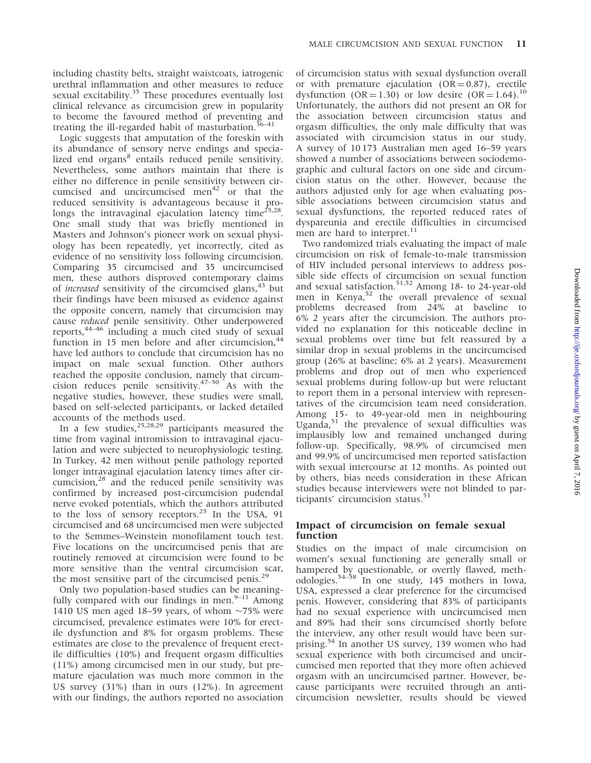including chastity belts, straight waistcoats, iatrogenic urethral inflammation and other measures to reduce sexual excitability.<sup>35</sup> These procedures eventually lost clinical relevance as circumcision grew in popularity to become the favoured method of preventing and treating the ill-regarded habit of masturbation.<sup>3</sup>

Logic suggests that amputation of the foreskin with its abundance of sensory nerve endings and specialized end organs<sup>8</sup> entails reduced penile sensitivity. Nevertheless, some authors maintain that there is either no difference in penile sensitivity between circumcised and uncircumcised men $42$  or that the reduced sensitivity is advantageous because it prolongs the intravaginal ejaculation latency time<sup>25,28</sup>. One small study that was briefly mentioned in Masters and Johnson's pioneer work on sexual physiology has been repeatedly, yet incorrectly, cited as evidence of no sensitivity loss following circumcision. Comparing 35 circumcised and 35 uncircumcised men, these authors disproved contemporary claims of *increased* sensitivity of the circumcised glans,<sup>43</sup> but their findings have been misused as evidence against the opposite concern, namely that circumcision may cause reduced penile sensitivity. Other underpowered reports,  $44-46$  including a much cited study of sexual function in 15 men before and after circumcision,<sup>44</sup> have led authors to conclude that circumcision has no impact on male sexual function. Other authors reached the opposite conclusion, namely that circumcision reduces penile sensitivity. $47-50$  As with the negative studies, however, these studies were small, based on self-selected participants, or lacked detailed accounts of the methods used.

In a few studies, $25,28,29$  participants measured the time from vaginal intromission to intravaginal ejaculation and were subjected to neurophysiologic testing. In Turkey, 42 men without penile pathology reported longer intravaginal ejaculation latency times after circumcision, $28$  and the reduced penile sensitivity was confirmed by increased post-circumcision pudendal nerve evoked potentials, which the authors attributed to the loss of sensory receptors.<sup>25</sup> In the USA, 91 circumcised and 68 uncircumcised men were subjected to the Semmes–Weinstein monofilament touch test. Five locations on the uncircumcised penis that are routinely removed at circumcision were found to be more sensitive than the ventral circumcision scar, the most sensitive part of the circumcised penis.<sup>29</sup>

Only two population-based studies can be meaningfully compared with our findings in men. $9-11$  Among 1410 US men aged 18–59 years, of whom  $\sim$ 75% were circumcised, prevalence estimates were 10% for erectile dysfunction and 8% for orgasm problems. These estimates are close to the prevalence of frequent erectile difficulties (10%) and frequent orgasm difficulties (11%) among circumcised men in our study, but premature ejaculation was much more common in the US survey (31%) than in ours (12%). In agreement with our findings, the authors reported no association of circumcision status with sexual dysfunction overall or with premature ejaculation  $(OR = 0.87)$ , erectile dysfunction (OR = 1.30) or low desire (OR = 1.64).<sup>10</sup> Unfortunately, the authors did not present an OR for the association between circumcision status and orgasm difficulties, the only male difficulty that was associated with circumcision status in our study. A survey of 10 173 Australian men aged 16–59 years showed a number of associations between sociodemographic and cultural factors on one side and circumcision status on the other. However, because the authors adjusted only for age when evaluating possible associations between circumcision status and sexual dysfunctions, the reported reduced rates of dyspareunia and erectile difficulties in circumcised men are hard to interpret.<sup>11</sup>

Two randomized trials evaluating the impact of male circumcision on risk of female-to-male transmission of HIV included personal interviews to address possible side effects of circumcision on sexual function and sexual satisfaction.<sup>51,52</sup> Among 18- to 24-year-old men in Kenya, $52$  the overall prevalence of sexual problems decreased from 24% at baseline to 6% 2 years after the circumcision. The authors provided no explanation for this noticeable decline in sexual problems over time but felt reassured by a similar drop in sexual problems in the uncircumcised group (26% at baseline; 6% at 2 years). Measurement problems and drop out of men who experienced sexual problems during follow-up but were reluctant to report them in a personal interview with representatives of the circumcision team need consideration. Among 15- to 49-year-old men in neighbouring Uganda, $51$  the prevalence of sexual difficulties was implausibly low and remained unchanged during follow-up. Specifically, 98.9% of circumcised men and 99.9% of uncircumcised men reported satisfaction with sexual intercourse at 12 months. As pointed out by others, bias needs consideration in these African studies because interviewers were not blinded to participants' circumcision status.<sup>53</sup>

#### Impact of circumcision on female sexual function

Studies on the impact of male circumcision on women's sexual functioning are generally small or hampered by questionable, or overtly flawed, methodologies.54–58 In one study, 145 mothers in Iowa, USA, expressed a clear preference for the circumcised penis. However, considering that 83% of participants had no sexual experience with uncircumcised men and 89% had their sons circumcised shortly before the interview, any other result would have been surprising.<sup>54</sup> In another US survey, 139 women who had sexual experience with both circumcised and uncircumcised men reported that they more often achieved orgasm with an uncircumcised partner. However, because participants were recruited through an anticircumcision newsletter, results should be viewed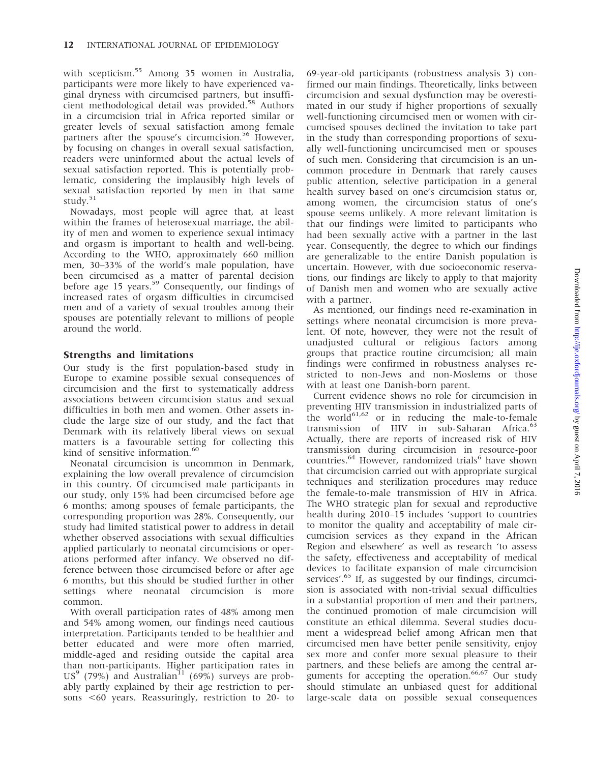with scepticism.<sup>55</sup> Among 35 women in Australia, participants were more likely to have experienced vaginal dryness with circumcised partners, but insufficient methodological detail was provided.<sup>58</sup> Authors in a circumcision trial in Africa reported similar or greater levels of sexual satisfaction among female partners after the spouse's circumcision.<sup>56</sup> However, by focusing on changes in overall sexual satisfaction, readers were uninformed about the actual levels of sexual satisfaction reported. This is potentially problematic, considering the implausibly high levels of sexual satisfaction reported by men in that same study. $51$ 

Nowadays, most people will agree that, at least within the frames of heterosexual marriage, the ability of men and women to experience sexual intimacy and orgasm is important to health and well-being. According to the WHO, approximately 660 million men, 30–33% of the world's male population, have been circumcised as a matter of parental decision before age 15 years.<sup>59</sup> Consequently, our findings of increased rates of orgasm difficulties in circumcised men and of a variety of sexual troubles among their spouses are potentially relevant to millions of people around the world.

#### Strengths and limitations

Our study is the first population-based study in Europe to examine possible sexual consequences of circumcision and the first to systematically address associations between circumcision status and sexual difficulties in both men and women. Other assets include the large size of our study, and the fact that Denmark with its relatively liberal views on sexual matters is a favourable setting for collecting this kind of sensitive information.<sup>60</sup>

Neonatal circumcision is uncommon in Denmark, explaining the low overall prevalence of circumcision in this country. Of circumcised male participants in our study, only 15% had been circumcised before age 6 months; among spouses of female participants, the corresponding proportion was 28%. Consequently, our study had limited statistical power to address in detail whether observed associations with sexual difficulties applied particularly to neonatal circumcisions or operations performed after infancy. We observed no difference between those circumcised before or after age 6 months, but this should be studied further in other settings where neonatal circumcision is more common.

With overall participation rates of 48% among men and 54% among women, our findings need cautious interpretation. Participants tended to be healthier and better educated and were more often married, middle-aged and residing outside the capital area than non-participants. Higher participation rates in  $US<sup>9</sup>$  (79%) and Australian<sup>11</sup> (69%) surveys are probably partly explained by their age restriction to persons <60 years. Reassuringly, restriction to 20- to

69-year-old participants (robustness analysis 3) confirmed our main findings. Theoretically, links between circumcision and sexual dysfunction may be overestimated in our study if higher proportions of sexually well-functioning circumcised men or women with circumcised spouses declined the invitation to take part in the study than corresponding proportions of sexually well-functioning uncircumcised men or spouses of such men. Considering that circumcision is an uncommon procedure in Denmark that rarely causes public attention, selective participation in a general health survey based on one's circumcision status or, among women, the circumcision status of one's spouse seems unlikely. A more relevant limitation is that our findings were limited to participants who had been sexually active with a partner in the last year. Consequently, the degree to which our findings are generalizable to the entire Danish population is uncertain. However, with due socioeconomic reservations, our findings are likely to apply to that majority of Danish men and women who are sexually active with a partner.

As mentioned, our findings need re-examination in settings where neonatal circumcision is more prevalent. Of note, however, they were not the result of unadjusted cultural or religious factors among groups that practice routine circumcision; all main findings were confirmed in robustness analyses restricted to non-Jews and non-Moslems or those with at least one Danish-born parent.

Current evidence shows no role for circumcision in preventing HIV transmission in industrialized parts of the world<sup>61,62</sup> or in reducing the male-to-female transmission of HIV in sub-Saharan Africa.<sup>63</sup> Actually, there are reports of increased risk of HIV transmission during circumcision in resource-poor countries.<sup>64</sup> However, randomized trials<sup>6</sup> have shown that circumcision carried out with appropriate surgical techniques and sterilization procedures may reduce the female-to-male transmission of HIV in Africa. The WHO strategic plan for sexual and reproductive health during 2010–15 includes 'support to countries to monitor the quality and acceptability of male circumcision services as they expand in the African Region and elsewhere' as well as research 'to assess the safety, effectiveness and acceptability of medical devices to facilitate expansion of male circumcision services'.<sup>65</sup> If, as suggested by our findings, circumcision is associated with non-trivial sexual difficulties in a substantial proportion of men and their partners, the continued promotion of male circumcision will constitute an ethical dilemma. Several studies document a widespread belief among African men that circumcised men have better penile sensitivity, enjoy sex more and confer more sexual pleasure to their partners, and these beliefs are among the central arguments for accepting the operation.<sup>66,67</sup> Our study should stimulate an unbiased quest for additional large-scale data on possible sexual consequences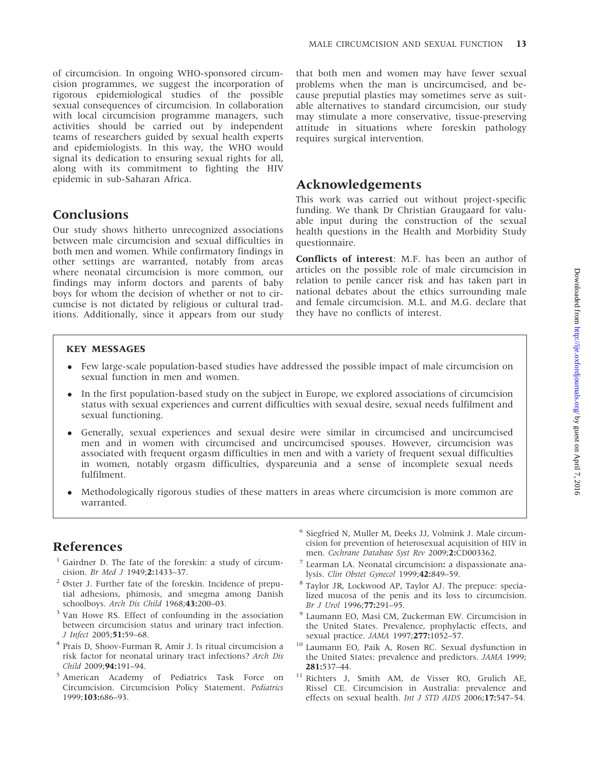of circumcision. In ongoing WHO-sponsored circumcision programmes, we suggest the incorporation of rigorous epidemiological studies of the possible sexual consequences of circumcision. In collaboration with local circumcision programme managers, such activities should be carried out by independent teams of researchers guided by sexual health experts and epidemiologists. In this way, the WHO would signal its dedication to ensuring sexual rights for all, along with its commitment to fighting the HIV epidemic in sub-Saharan Africa.

# **Conclusions**

Our study shows hitherto unrecognized associations between male circumcision and sexual difficulties in both men and women. While confirmatory findings in other settings are warranted, notably from areas where neonatal circumcision is more common, our findings may inform doctors and parents of baby boys for whom the decision of whether or not to circumcise is not dictated by religious or cultural traditions. Additionally, since it appears from our study

that both men and women may have fewer sexual problems when the man is uncircumcised, and because preputial plasties may sometimes serve as suitable alternatives to standard circumcision, our study may stimulate a more conservative, tissue-preserving attitude in situations where foreskin pathology requires surgical intervention.

# Acknowledgements

This work was carried out without project-specific funding. We thank Dr Christian Graugaard for valuable input during the construction of the sexual health questions in the Health and Morbidity Study questionnaire.

Conflicts of interest: M.F. has been an author of articles on the possible role of male circumcision in relation to penile cancer risk and has taken part in national debates about the ethics surrounding male and female circumcision. M.L. and M.G. declare that they have no conflicts of interest.

#### KEY MESSAGES

- Few large-scale population-based studies have addressed the possible impact of male circumcision on sexual function in men and women.
- In the first population-based study on the subject in Europe, we explored associations of circumcision status with sexual experiences and current difficulties with sexual desire, sexual needs fulfilment and sexual functioning.
- Generally, sexual experiences and sexual desire were similar in circumcised and uncircumcised men and in women with circumcised and uncircumcised spouses. However, circumcision was associated with frequent orgasm difficulties in men and with a variety of frequent sexual difficulties in women, notably orgasm difficulties, dyspareunia and a sense of incomplete sexual needs fulfilment.
- Methodologically rigorous studies of these matters in areas where circumcision is more common are warranted.

# References

- <sup>1</sup> Gairdner D. The fate of the foreskin: a study of circumcision. Br Med J 1949;2:1433–37.
- <sup>2</sup> Øster J. Further fate of the foreskin. Incidence of preputial adhesions, phimosis, and smegma among Danish schoolboys. Arch Dis Child 1968;43:200-03.
- <sup>3</sup> Van Howe RS. Effect of confounding in the association between circumcision status and urinary tract infection. J Infect 2005;51:59–68.
- <sup>4</sup> Prais D, Shoov-Furman R, Amir J. Is ritual circumcision a risk factor for neonatal urinary tract infections? Arch Dis Child 2009;94:191–94.
- <sup>5</sup> American Academy of Pediatrics Task Force on Circumcision. Circumcision Policy Statement. Pediatrics 1999;103:686–93.
- <sup>6</sup> Siegfried N, Muller M, Deeks JJ, Volmink J. Male circumcision for prevention of heterosexual acquisition of HIV in men. Cochrane Database Syst Rev 2009;2:CD003362.
- Learman LA. Neonatal circumcision: a dispassionate analysis. Clin Obstet Gynecol 1999;42:849-59.
- <sup>8</sup> Taylor JR, Lockwood AP, Taylor AJ. The prepuce: specialized mucosa of the penis and its loss to circumcision. Br J Urol 1996;77:291–95.
- <sup>9</sup> Laumann EO, Masi CM, Zuckerman EW. Circumcision in the United States. Prevalence, prophylactic effects, and sexual practice. JAMA 1997;277:1052–57.
- Laumann EO, Paik A, Rosen RC. Sexual dysfunction in the United States: prevalence and predictors. JAMA 1999; 281:537–44.
- <sup>11</sup> Richters J, Smith AM, de Visser RO, Grulich AE, Rissel CE. Circumcision in Australia: prevalence and effects on sexual health. Int J STD AIDS 2006;17:547–54.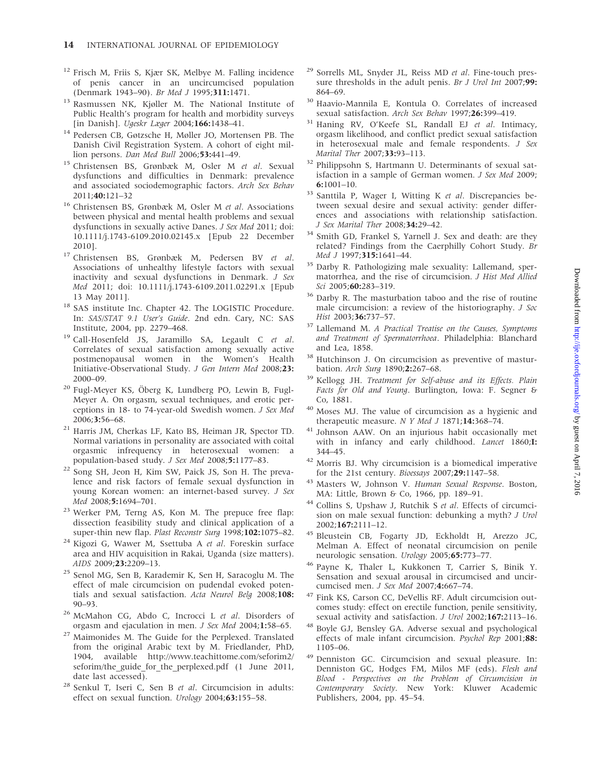- <sup>12</sup> Frisch M, Friis S, Kjær SK, Melbye M. Falling incidence of penis cancer in an uncircumcised population (Denmark 1943–90). Br Med J 1995;311:1471.
- <sup>13</sup> Rasmussen NK, Kjøller M. The National Institute of Public Health's program for health and morbidity surveys [in Danish]. Ugeskr Læger 2004;166:1438-41.
- <sup>14</sup> Pedersen CB, Gøtzsche H, Møller JO, Mortensen PB. The Danish Civil Registration System. A cohort of eight million persons. Dan Med Bull 2006;53:441–49.
- <sup>15</sup> Christensen BS, Grønbæk M, Osler M et al. Sexual dysfunctions and difficulties in Denmark: prevalence and associated sociodemographic factors. Arch Sex Behav 2011;40:121–32
- <sup>16</sup> Christensen BS, Grønbæk M, Osler M et al. Associations between physical and mental health problems and sexual dysfunctions in sexually active Danes. J Sex Med 2011; doi: 10.1111/j.1743-6109.2010.02145.x [Epub 22 December 2010].
- <sup>17</sup> Christensen BS, Grønbæk M, Pedersen BV et al. Associations of unhealthy lifestyle factors with sexual inactivity and sexual dysfunctions in Denmark. J Sex Med 2011; doi: 10.1111/j.1743-6109.2011.02291.x [Epub 13 May 2011].
- <sup>18</sup> SAS institute Inc. Chapter 42. The LOGISTIC Procedure. In: SAS/STAT 9.1 User's Guide. 2nd edn. Cary, NC: SAS Institute, 2004, pp. 2279–468.
- <sup>19</sup> Call-Hosenfeld JS, Jaramillo SA, Legault C et al. Correlates of sexual satisfaction among sexually active postmenopausal women in the Women's Health Initiative-Observational Study. J Gen Intern Med 2008;23: 2000–09.
- <sup>20</sup> Fugl-Meyer KS, Öberg K, Lundberg PO, Lewin B, Fugl-Meyer A. On orgasm, sexual techniques, and erotic perceptions in 18- to 74-year-old Swedish women. J Sex Med 2006;3:56–68.
- <sup>21</sup> Harris JM, Cherkas LF, Kato BS, Heiman JR, Spector TD. Normal variations in personality are associated with coital orgasmic infrequency in heterosexual women: a population-based study. J Sex Med 2008;5:1177-83.
- <sup>22</sup> Song SH, Jeon H, Kim SW, Paick JS, Son H. The prevalence and risk factors of female sexual dysfunction in young Korean women: an internet-based survey. J Sex Med 2008;5:1694–701.
- <sup>23</sup> Werker PM, Terng AS, Kon M. The prepuce free flap: dissection feasibility study and clinical application of a super-thin new flap. Plast Reconstr Surg 1998;102:1075-82.
- <sup>24</sup> Kigozi G, Wawer M, Ssettuba A et al. Foreskin surface area and HIV acquisition in Rakai, Uganda (size matters). AIDS 2009;23:2209–13.
- <sup>25</sup> Senol MG, Sen B, Karademir K, Sen H, Saracoglu M. The effect of male circumcision on pudendal evoked potentials and sexual satisfaction. Acta Neurol Belg 2008;108: 90–93.
- <sup>26</sup> McMahon CG, Abdo C, Incrocci L et al. Disorders of orgasm and ejaculation in men. J Sex Med 2004;1:58–65.
- <sup>27</sup> Maimonides M. The Guide for the Perplexed. Translated from the original Arabic text by M. Friedlander, PhD, 1904, available [http://www.teachittome.com/seforim2/](www.teachittome.com/seforim2/seforim/the_guide_for_the_perplexed.pdf) [seforim/the\\_guide\\_for\\_the\\_perplexed.pdf](www.teachittome.com/seforim2/seforim/the_guide_for_the_perplexed.pdf) (1 June 2011, date last accessed).
- $28$  Senkul T, Iseri C, Sen B et al. Circumcision in adults: effect on sexual function. Urology 2004;63:155-58.
- <sup>29</sup> Sorrells ML, Snyder JL, Reiss MD et al. Fine-touch pressure thresholds in the adult penis. Br J Urol Int 2007;99: 864–69.
- <sup>30</sup> Haavio-Mannila E, Kontula O. Correlates of increased sexual satisfaction. Arch Sex Behav 1997;26:399-419.
- Haning RV, O'Keefe SL, Randall EJ et al. Intimacy, orgasm likelihood, and conflict predict sexual satisfaction in heterosexual male and female respondents. J Sex Marital Ther 2007;33:93–113.
- <sup>32</sup> Philippsohn S, Hartmann U. Determinants of sexual satisfaction in a sample of German women. J Sex Med 2009; 6:1001–10.
- <sup>33</sup> Santtila P, Wager I, Witting K et al. Discrepancies between sexual desire and sexual activity: gender differences and associations with relationship satisfaction. J Sex Marital Ther 2008;34:29–42.
- <sup>34</sup> Smith GD, Frankel S, Yarnell J. Sex and death: are they related? Findings from the Caerphilly Cohort Study. Br Med J 1997;315:1641-44.
- <sup>35</sup> Darby R. Pathologizing male sexuality: Lallemand, spermatorrhea, and the rise of circumcision. J Hist Med Allied Sci 2005;60:283-319.
- <sup>36</sup> Darby R. The masturbation taboo and the rise of routine male circumcision: a review of the historiography. J Soc Hist 2003;36:737–57.
- <sup>37</sup> Lallemand M. A Practical Treatise on the Causes, Symptoms and Treatment of Spermatorrhoea. Philadelphia: Blanchard and Lea, 1858.
- <sup>38</sup> Hutchinson J. On circumcision as preventive of masturbation. Arch Surg 1890;2:267–68.
- <sup>39</sup> Kellogg JH. Treatment for Self-abuse and its Effects. Plain Facts for Old and Young. Burlington, Iowa: F. Segner & Co, 1881.
- <sup>40</sup> Moses MJ. The value of circumcision as a hygienic and therapeutic measure. N Y Med J 1871;14:368-74.
- <sup>41</sup> Johnson AAW. On an injurious habit occasionally met with in infancy and early childhood. Lancet 1860:I: 344–45.
- <sup>42</sup> Morris BJ. Why circumcision is a biomedical imperative for the 21st century. Bioessays 2007;29:1147-58.
- <sup>43</sup> Masters W, Johnson V. Human Sexual Response. Boston, MA: Little, Brown & Co, 1966, pp. 189–91.
- <sup>44</sup> Collins S, Upshaw J, Rutchik S et al. Effects of circumcision on male sexual function: debunking a myth? J Urol 2002;167:2111–12.
- <sup>45</sup> Bleustein CB, Fogarty JD, Eckholdt H, Arezzo JC, Melman A. Effect of neonatal circumcision on penile neurologic sensation. Urology 2005;65:773–77.
- <sup>46</sup> Payne K, Thaler L, Kukkonen T, Carrier S, Binik Y. Sensation and sexual arousal in circumcised and uncircumcised men. J Sex Med 2007;4:667–74.
- <sup>47</sup> Fink KS, Carson CC, DeVellis RF. Adult circumcision outcomes study: effect on erectile function, penile sensitivity, sexual activity and satisfaction. J Urol 2002;167:2113-16.
- <sup>48</sup> Boyle GJ, Bensley GA. Adverse sexual and psychological effects of male infant circumcision. Psychol Rep 2001;88: 1105–06.
- <sup>49</sup> Denniston GC. Circumcision and sexual pleasure. In: Denniston GC, Hodges FM, Milos MF (eds). Flesh and Blood - Perspectives on the Problem of Circumcision in Contemporary Society. New York: Kluwer Academic Publishers, 2004, pp. 45–54.